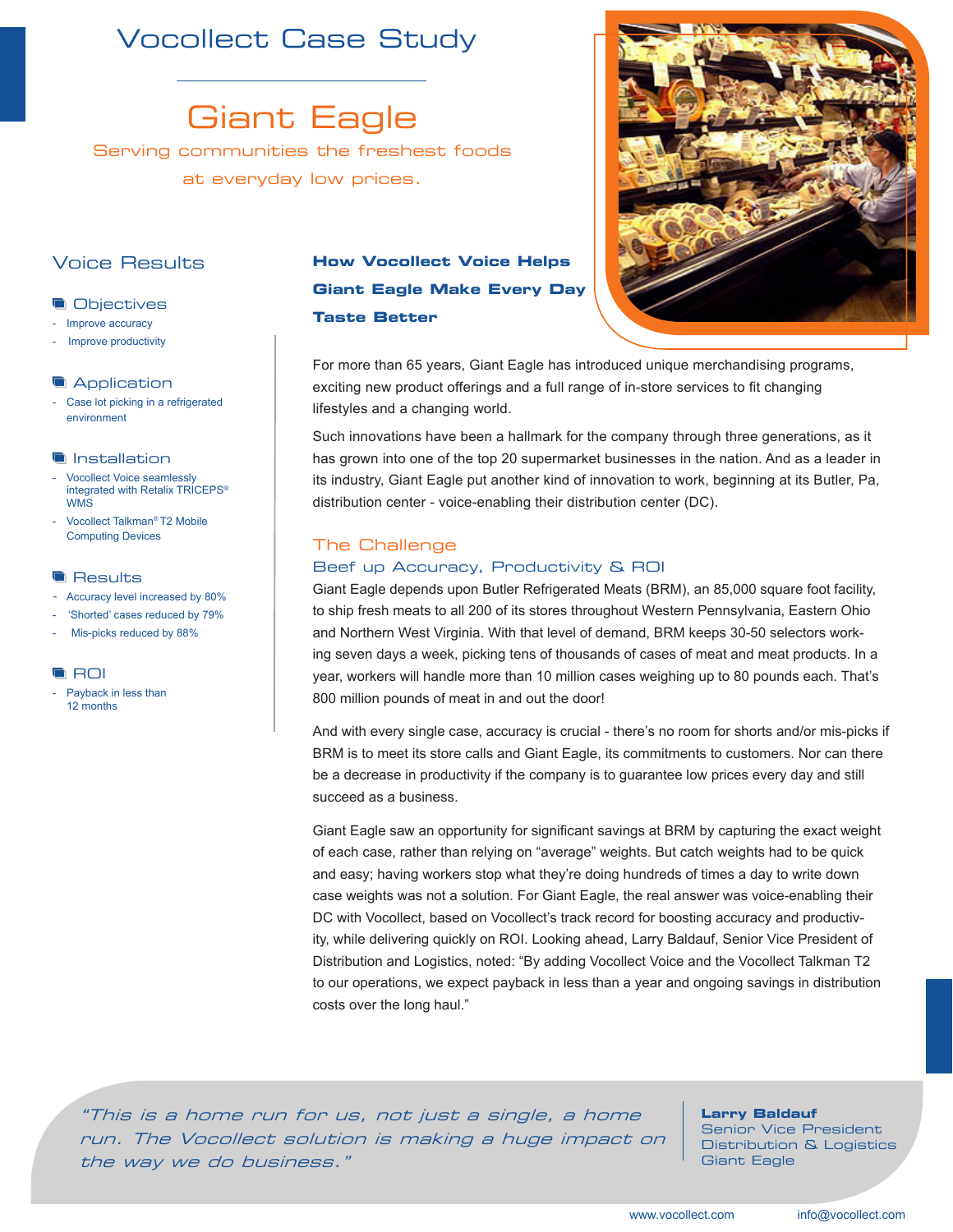# Vocollect Case Study

Giant Eagle

Serving communities the freshest foods at everyday low prices.

# Voice Results

# **Objectives**

- Improve accuracy
- Improve productivity

#### **Application**

Case lot picking in a refrigerated environment

#### **Installation**

- Vocollect Voice seamlessly integrated with Retalix TRICEPS*®* **WMS**
- Vocollect Talkman*®* T2 Mobile Computing Devices

#### **Results**

- Accuracy level increased by 80%
- 'Shorted' cases reduced by 79%
- Mis-picks reduced by 88%

#### **ROI**

Payback in less than 12 months

# **How Vocollect Voice Helps Giant Eagle Make Every Day Taste Better**

For more than 65 years, Giant Eagle has introduced unique merchandising programs, exciting new product offerings and a full range of in-store services to fit changing lifestyles and a changing world.

Such innovations have been a hallmark for the company through three generations, as it has grown into one of the top 20 supermarket businesses in the nation. And as a leader in its industry, Giant Eagle put another kind of innovation to work, beginning at its Butler, Pa, distribution center - voice-enabling their distribution center (DC).

# The Challenge

# Beef up Accuracy, Productivity & ROI

Giant Eagle depends upon Butler Refrigerated Meats (BRM), an 85,000 square foot facility, to ship fresh meats to all 200 of its stores throughout Western Pennsylvania, Eastern Ohio and Northern West Virginia. With that level of demand, BRM keeps 30-50 selectors working seven days a week, picking tens of thousands of cases of meat and meat products. In a year, workers will handle more than 10 million cases weighing up to 80 pounds each. That's 800 million pounds of meat in and out the door!

And with every single case, accuracy is crucial - there's no room for shorts and/or mis-picks if BRM is to meet its store calls and Giant Eagle, its commitments to customers. Nor can there be a decrease in productivity if the company is to guarantee low prices every day and still succeed as a business.

Giant Eagle saw an opportunity for significant savings at BRM by capturing the exact weight of each case, rather than relying on "average" weights. But catch weights had to be quick and easy; having workers stop what they're doing hundreds of times a day to write down case weights was not a solution. For Giant Eagle, the real answer was voice-enabling their DC with Vocollect, based on Vocollect's track record for boosting accuracy and productivity, while delivering quickly on ROI. Looking ahead, Larry Baldauf, Senior Vice President of Distribution and Logistics, noted: "By adding Vocollect Voice and the Vocollect Talkman T2 to our operations, we expect payback in less than a year and ongoing savings in distribution costs over the long haul."

"This is a home run for us, not just a single, a home run. The Vocollect solution is making a huge impact on the way we do business."

### **Larry Baldauf**

Senior Vice President Distribution & Logistics Giant Eagle